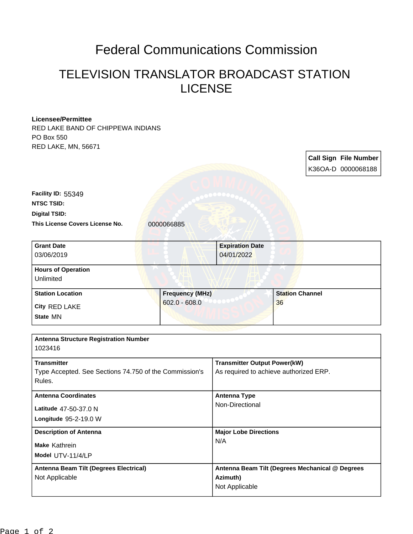## Federal Communications Commission

## TELEVISION TRANSLATOR BROADCAST STATION LICENSE

| <b>Licensee/Permittee</b>                                       |                        |                                                                               |                        |  |                              |
|-----------------------------------------------------------------|------------------------|-------------------------------------------------------------------------------|------------------------|--|------------------------------|
| RED LAKE BAND OF CHIPPEWA INDIANS<br>PO Box 550                 |                        |                                                                               |                        |  |                              |
| RED LAKE, MN, 56671                                             |                        |                                                                               |                        |  |                              |
|                                                                 |                        |                                                                               |                        |  |                              |
|                                                                 |                        |                                                                               |                        |  | <b>Call Sign File Number</b> |
|                                                                 |                        |                                                                               |                        |  | K36OA-D 0000068188           |
|                                                                 |                        |                                                                               |                        |  |                              |
| Facility ID: 55349                                              |                        |                                                                               |                        |  |                              |
| <b>NTSC TSID:</b>                                               |                        |                                                                               |                        |  |                              |
| <b>Digital TSID:</b>                                            |                        |                                                                               |                        |  |                              |
| This License Covers License No.                                 | 0000066885             |                                                                               |                        |  |                              |
| <b>Grant Date</b>                                               |                        | <b>Expiration Date</b>                                                        |                        |  |                              |
| 03/06/2019                                                      |                        | 04/01/2022                                                                    |                        |  |                              |
| <b>Hours of Operation</b>                                       |                        |                                                                               |                        |  |                              |
| Unlimited                                                       |                        |                                                                               |                        |  |                              |
| <b>Station Location</b>                                         | <b>Frequency (MHz)</b> |                                                                               | <b>Station Channel</b> |  |                              |
| City RED LAKE                                                   | $602.0 - 608.0$        |                                                                               | 36                     |  |                              |
| State MN                                                        |                        |                                                                               |                        |  |                              |
|                                                                 |                        |                                                                               |                        |  |                              |
| <b>Antenna Structure Registration Number</b>                    |                        |                                                                               |                        |  |                              |
| 1023416                                                         |                        |                                                                               |                        |  |                              |
| <b>Transmitter</b>                                              |                        | <b>Transmitter Output Power(kW)</b>                                           |                        |  |                              |
| Type Accepted. See Sections 74.750 of the Commission's          |                        | As required to achieve authorized ERP.                                        |                        |  |                              |
| Rules.                                                          |                        |                                                                               |                        |  |                              |
| <b>Antenna Coordinates</b>                                      |                        | <b>Antenna Type</b>                                                           |                        |  |                              |
| Latitude 47-50-37.0 N                                           |                        | Non-Directional                                                               |                        |  |                              |
| Longitude 95-2-19.0 W                                           |                        |                                                                               |                        |  |                              |
| <b>Description of Antenna</b>                                   |                        | <b>Major Lobe Directions</b>                                                  |                        |  |                              |
|                                                                 |                        | N/A                                                                           |                        |  |                              |
| Make Kathrein                                                   |                        |                                                                               |                        |  |                              |
| Model UTV-11/4/LP                                               |                        |                                                                               |                        |  |                              |
| <b>Antenna Beam Tilt (Degrees Electrical)</b><br>Not Applicable |                        | Antenna Beam Tilt (Degrees Mechanical @ Degrees<br>Azimuth)<br>Not Applicable |                        |  |                              |
|                                                                 |                        |                                                                               |                        |  |                              |